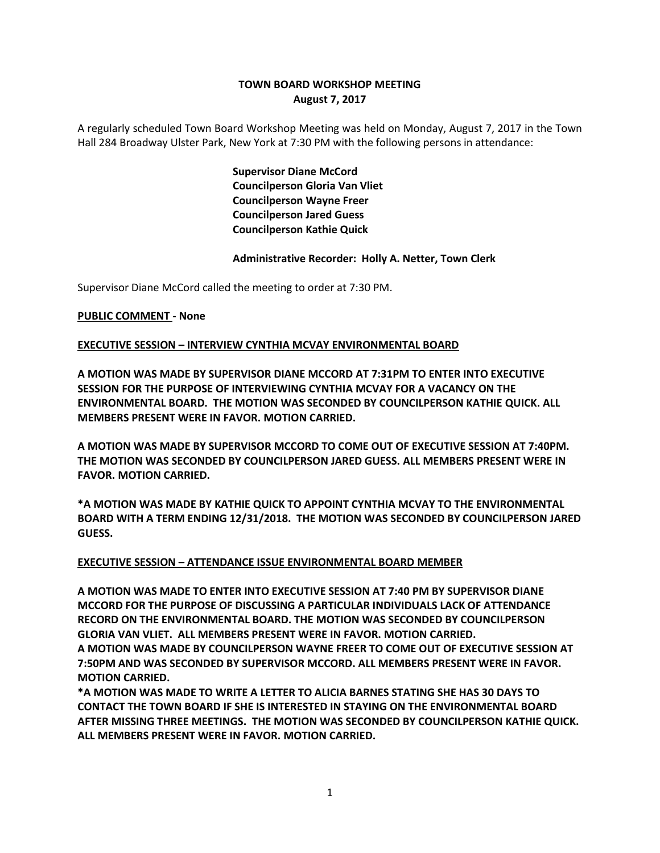# **TOWN BOARD WORKSHOP MEETING August 7, 2017**

A regularly scheduled Town Board Workshop Meeting was held on Monday, August 7, 2017 in the Town Hall 284 Broadway Ulster Park, New York at 7:30 PM with the following persons in attendance:

> **Supervisor Diane McCord Councilperson Gloria Van Vliet Councilperson Wayne Freer Councilperson Jared Guess Councilperson Kathie Quick**

### **Administrative Recorder: Holly A. Netter, Town Clerk**

Supervisor Diane McCord called the meeting to order at 7:30 PM.

### **PUBLIC COMMENT - None**

### **EXECUTIVE SESSION – INTERVIEW CYNTHIA MCVAY ENVIRONMENTAL BOARD**

**A MOTION WAS MADE BY SUPERVISOR DIANE MCCORD AT 7:31PM TO ENTER INTO EXECUTIVE SESSION FOR THE PURPOSE OF INTERVIEWING CYNTHIA MCVAY FOR A VACANCY ON THE ENVIRONMENTAL BOARD. THE MOTION WAS SECONDED BY COUNCILPERSON KATHIE QUICK. ALL MEMBERS PRESENT WERE IN FAVOR. MOTION CARRIED.**

**A MOTION WAS MADE BY SUPERVISOR MCCORD TO COME OUT OF EXECUTIVE SESSION AT 7:40PM. THE MOTION WAS SECONDED BY COUNCILPERSON JARED GUESS. ALL MEMBERS PRESENT WERE IN FAVOR. MOTION CARRIED.**

**\*A MOTION WAS MADE BY KATHIE QUICK TO APPOINT CYNTHIA MCVAY TO THE ENVIRONMENTAL BOARD WITH A TERM ENDING 12/31/2018. THE MOTION WAS SECONDED BY COUNCILPERSON JARED GUESS.** 

### **EXECUTIVE SESSION – ATTENDANCE ISSUE ENVIRONMENTAL BOARD MEMBER**

**A MOTION WAS MADE TO ENTER INTO EXECUTIVE SESSION AT 7:40 PM BY SUPERVISOR DIANE MCCORD FOR THE PURPOSE OF DISCUSSING A PARTICULAR INDIVIDUALS LACK OF ATTENDANCE RECORD ON THE ENVIRONMENTAL BOARD. THE MOTION WAS SECONDED BY COUNCILPERSON GLORIA VAN VLIET. ALL MEMBERS PRESENT WERE IN FAVOR. MOTION CARRIED.** 

**A MOTION WAS MADE BY COUNCILPERSON WAYNE FREER TO COME OUT OF EXECUTIVE SESSION AT 7:50PM AND WAS SECONDED BY SUPERVISOR MCCORD. ALL MEMBERS PRESENT WERE IN FAVOR. MOTION CARRIED.** 

**\*A MOTION WAS MADE TO WRITE A LETTER TO ALICIA BARNES STATING SHE HAS 30 DAYS TO CONTACT THE TOWN BOARD IF SHE IS INTERESTED IN STAYING ON THE ENVIRONMENTAL BOARD AFTER MISSING THREE MEETINGS. THE MOTION WAS SECONDED BY COUNCILPERSON KATHIE QUICK. ALL MEMBERS PRESENT WERE IN FAVOR. MOTION CARRIED.**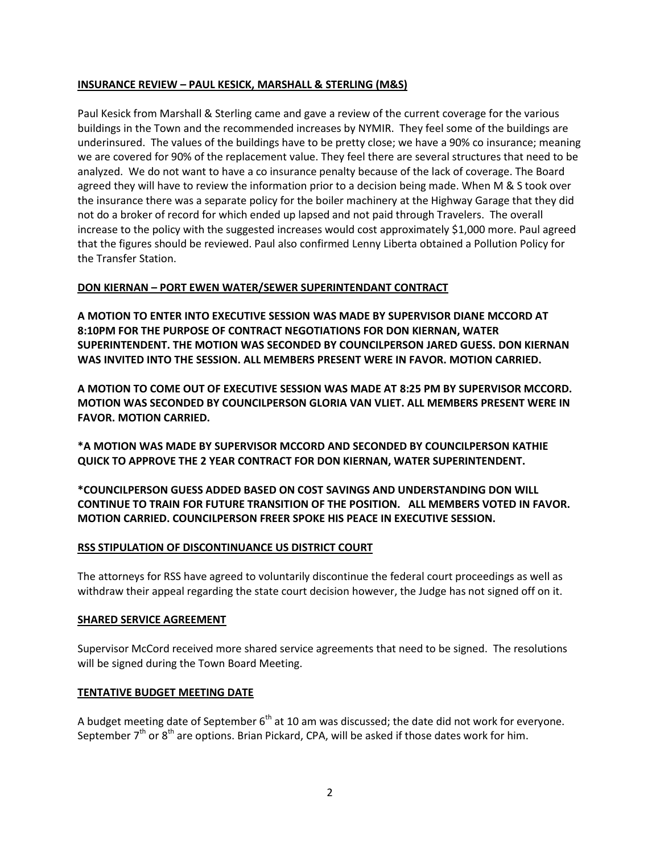## **INSURANCE REVIEW – PAUL KESICK, MARSHALL & STERLING (M&S)**

Paul Kesick from Marshall & Sterling came and gave a review of the current coverage for the various buildings in the Town and the recommended increases by NYMIR. They feel some of the buildings are underinsured. The values of the buildings have to be pretty close; we have a 90% co insurance; meaning we are covered for 90% of the replacement value. They feel there are several structures that need to be analyzed. We do not want to have a co insurance penalty because of the lack of coverage. The Board agreed they will have to review the information prior to a decision being made. When M & S took over the insurance there was a separate policy for the boiler machinery at the Highway Garage that they did not do a broker of record for which ended up lapsed and not paid through Travelers. The overall increase to the policy with the suggested increases would cost approximately \$1,000 more. Paul agreed that the figures should be reviewed. Paul also confirmed Lenny Liberta obtained a Pollution Policy for the Transfer Station.

### **DON KIERNAN – PORT EWEN WATER/SEWER SUPERINTENDANT CONTRACT**

**A MOTION TO ENTER INTO EXECUTIVE SESSION WAS MADE BY SUPERVISOR DIANE MCCORD AT 8:10PM FOR THE PURPOSE OF CONTRACT NEGOTIATIONS FOR DON KIERNAN, WATER SUPERINTENDENT. THE MOTION WAS SECONDED BY COUNCILPERSON JARED GUESS. DON KIERNAN WAS INVITED INTO THE SESSION. ALL MEMBERS PRESENT WERE IN FAVOR. MOTION CARRIED.**

**A MOTION TO COME OUT OF EXECUTIVE SESSION WAS MADE AT 8:25 PM BY SUPERVISOR MCCORD. MOTION WAS SECONDED BY COUNCILPERSON GLORIA VAN VLIET. ALL MEMBERS PRESENT WERE IN FAVOR. MOTION CARRIED.**

**\*A MOTION WAS MADE BY SUPERVISOR MCCORD AND SECONDED BY COUNCILPERSON KATHIE QUICK TO APPROVE THE 2 YEAR CONTRACT FOR DON KIERNAN, WATER SUPERINTENDENT.**

**\*COUNCILPERSON GUESS ADDED BASED ON COST SAVINGS AND UNDERSTANDING DON WILL CONTINUE TO TRAIN FOR FUTURE TRANSITION OF THE POSITION. ALL MEMBERS VOTED IN FAVOR. MOTION CARRIED. COUNCILPERSON FREER SPOKE HIS PEACE IN EXECUTIVE SESSION.** 

### **RSS STIPULATION OF DISCONTINUANCE US DISTRICT COURT**

The attorneys for RSS have agreed to voluntarily discontinue the federal court proceedings as well as withdraw their appeal regarding the state court decision however, the Judge has not signed off on it.

### **SHARED SERVICE AGREEMENT**

Supervisor McCord received more shared service agreements that need to be signed. The resolutions will be signed during the Town Board Meeting.

### **TENTATIVE BUDGET MEETING DATE**

A budget meeting date of September  $6<sup>th</sup>$  at 10 am was discussed; the date did not work for everyone. September  $7<sup>th</sup>$  or  $8<sup>th</sup>$  are options. Brian Pickard, CPA, will be asked if those dates work for him.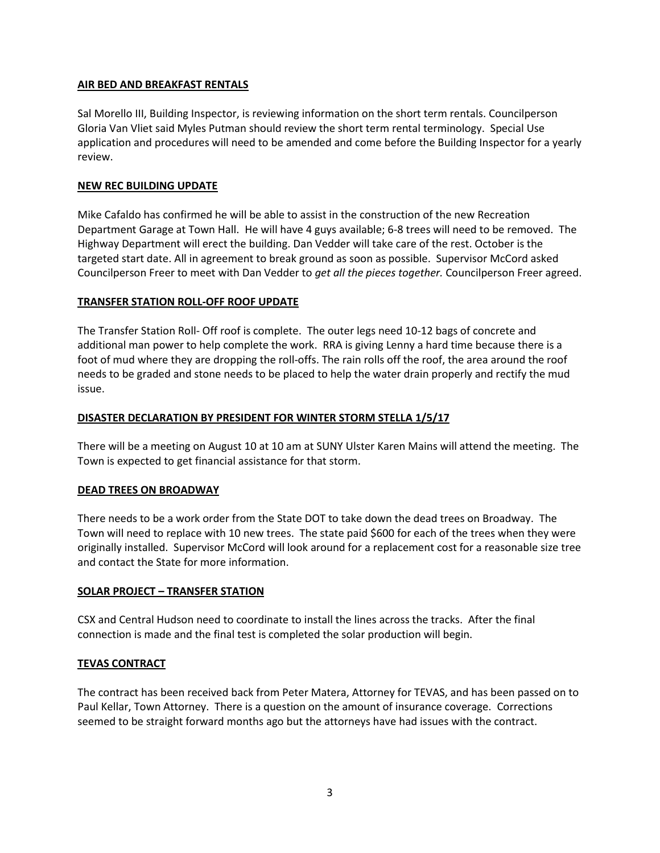## **AIR BED AND BREAKFAST RENTALS**

Sal Morello III, Building Inspector, is reviewing information on the short term rentals. Councilperson Gloria Van Vliet said Myles Putman should review the short term rental terminology. Special Use application and procedures will need to be amended and come before the Building Inspector for a yearly review.

## **NEW REC BUILDING UPDATE**

Mike Cafaldo has confirmed he will be able to assist in the construction of the new Recreation Department Garage at Town Hall. He will have 4 guys available; 6-8 trees will need to be removed. The Highway Department will erect the building. Dan Vedder will take care of the rest. October is the targeted start date. All in agreement to break ground as soon as possible. Supervisor McCord asked Councilperson Freer to meet with Dan Vedder to *get all the pieces together.* Councilperson Freer agreed.

## **TRANSFER STATION ROLL-OFF ROOF UPDATE**

The Transfer Station Roll- Off roof is complete. The outer legs need 10-12 bags of concrete and additional man power to help complete the work. RRA is giving Lenny a hard time because there is a foot of mud where they are dropping the roll-offs. The rain rolls off the roof, the area around the roof needs to be graded and stone needs to be placed to help the water drain properly and rectify the mud issue.

## **DISASTER DECLARATION BY PRESIDENT FOR WINTER STORM STELLA 1/5/17**

There will be a meeting on August 10 at 10 am at SUNY Ulster Karen Mains will attend the meeting. The Town is expected to get financial assistance for that storm.

## **DEAD TREES ON BROADWAY**

There needs to be a work order from the State DOT to take down the dead trees on Broadway. The Town will need to replace with 10 new trees. The state paid \$600 for each of the trees when they were originally installed. Supervisor McCord will look around for a replacement cost for a reasonable size tree and contact the State for more information.

## **SOLAR PROJECT – TRANSFER STATION**

CSX and Central Hudson need to coordinate to install the lines across the tracks. After the final connection is made and the final test is completed the solar production will begin.

# **TEVAS CONTRACT**

The contract has been received back from Peter Matera, Attorney for TEVAS, and has been passed on to Paul Kellar, Town Attorney. There is a question on the amount of insurance coverage. Corrections seemed to be straight forward months ago but the attorneys have had issues with the contract.